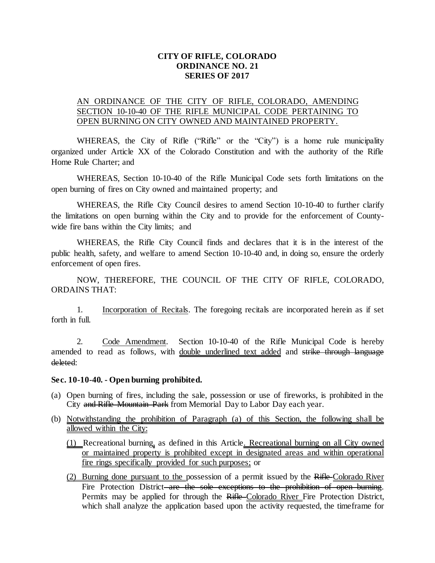## **CITY OF RIFLE, COLORADO ORDINANCE NO. 21 SERIES OF 2017**

## AN ORDINANCE OF THE CITY OF RIFLE, COLORADO, AMENDING SECTION 10-10-40 OF THE RIFLE MUNICIPAL CODE PERTAINING TO OPEN BURNING ON CITY OWNED AND MAINTAINED PROPERTY.

WHEREAS, the City of Rifle ("Rifle" or the "City") is a home rule municipality organized under Article XX of the Colorado Constitution and with the authority of the Rifle Home Rule Charter; and

WHEREAS, Section 10-10-40 of the Rifle Municipal Code sets forth limitations on the open burning of fires on City owned and maintained property; and

WHEREAS, the Rifle City Council desires to amend Section 10-10-40 to further clarify the limitations on open burning within the City and to provide for the enforcement of Countywide fire bans within the City limits; and

WHEREAS, the Rifle City Council finds and declares that it is in the interest of the public health, safety, and welfare to amend Section 10-10-40 and, in doing so, ensure the orderly enforcement of open fires.

NOW, THEREFORE, THE COUNCIL OF THE CITY OF RIFLE, COLORADO, ORDAINS THAT:

1. Incorporation of Recitals. The foregoing recitals are incorporated herein as if set forth in full.

2. Code Amendment. Section 10-10-40 of the Rifle Municipal Code is hereby amended to read as follows, with double underlined text added and strike through language deleted:

## **Sec. 10-10-40. - Open burning prohibited.**

- (a) Open burning of fires, including the sale, possession or use of fireworks, is prohibited in the City and Rifle Mountain Park from Memorial Day to Labor Day each year.
- (b) Notwithstanding the prohibition of Paragraph (a) of this Section, the following shall be allowed within the City:
	- (1) Recreational burning, as defined in this Article. Recreational burning on all City owned or maintained property is prohibited except in designated areas and within operational fire rings specifically provided for such purposes; or
	- (2) Burning done pursuant to the possession of a permit issued by the Rifle Colorado River Fire Protection District–are the sole exceptions to the prohibition of open burning. Permits may be applied for through the Rifle-Colorado River Fire Protection District, which shall analyze the application based upon the activity requested, the timeframe for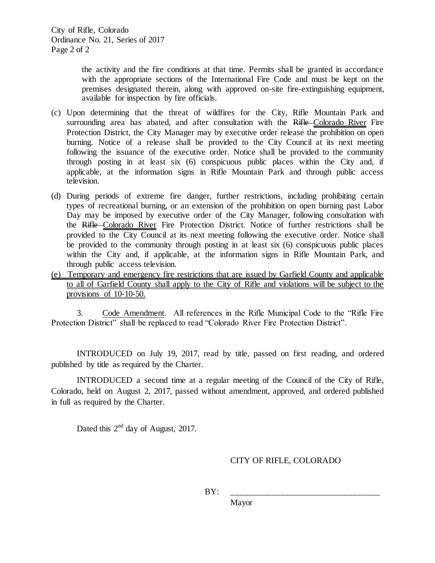the activity and the fire conditions at that time. Permits shall be granted in accordance with the appropriate sections of the International Fire Code and must be kept on the premises designated therein, along with approved on-site fire-extinguishing equipment, available for inspection by fire officials.

- (c) Upon determining that the threat of wildfires for the City, Rifle Mountain Park and surrounding area has abated, and after consultation with the Rifle-Colorado River Fire Protection District, the City Manager may by executive order release the prohibition on open burning. Notice of a release shall be provided to the City Council at its next meeting following the issuance of the executive order. Notice shall be provided to the community through posting in at least six (6) conspicuous public places within the City and, if applicable, at the information signs in Rifle Mountain Park and through public access television.
- (d) During periods of extreme fire danger, further restrictions, including prohibiting certain types of recreational burning, or an extension of the prohibition on open burning past Labor Day may be imposed by executive order of the City Manager, following consultation with the Rifle Colorado River Fire Protection District. Notice of further restrictions shall be provided to the City Council at its next meeting following the executive order. Notice shall be provided to the community through posting in at least six (6) conspicuous public places within the City and, if applicable, at the information signs in Rifle Mountain Park, and through public access television.
- (e) Temporary and emergency fire restrictions that are issued by Garfield County and applicable to all of Garfield County shall apply to the City of Rifle and violations will be subject to the provisions of 10-10-50.

3. Code Amendment. All references in the Rifle Municipal Code to the "Rifle Fire Protection District" shall be replaced to read "Colorado River Fire Protection District".

INTRODUCED on July 19, 2017, read by title, passed on first reading, and ordered published by title as required by the Charter.

INTRODUCED a second time at a regular meeting of the Council of the City of Rifle, Colorado, held on August 2, 2017, passed without amendment, approved, and ordered published in full as required by the Charter.

Dated this  $2<sup>nd</sup>$  day of August, 2017.

## CITY OF RIFLE, COLORADO

BY: \_\_\_\_\_\_\_\_\_\_\_\_\_\_\_\_\_\_\_\_\_\_\_\_\_\_\_\_\_\_\_\_\_

Mayor